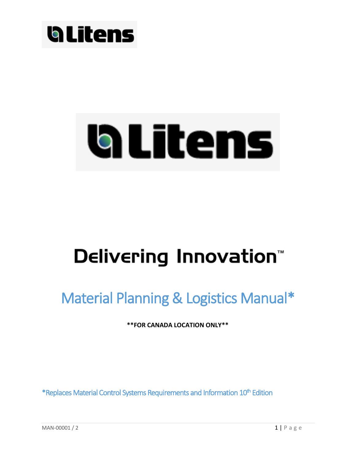

# a Litens

## Delivering Innovation<sup>\*\*</sup>

### Material Planning & Logistics Manual\*

**\*\*FOR CANADA LOCATION ONLY\*\***

\*Replaces Material Control Systems Requirements and Information 10<sup>th</sup> Edition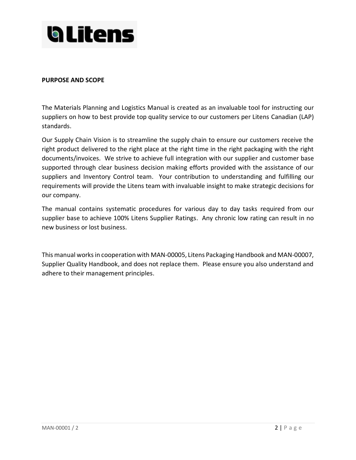

#### **PURPOSE AND SCOPE**

The Materials Planning and Logistics Manual is created as an invaluable tool for instructing our suppliers on how to best provide top quality service to our customers per Litens Canadian (LAP) standards.

Our Supply Chain Vision is to streamline the supply chain to ensure our customers receive the right product delivered to the right place at the right time in the right packaging with the right documents/invoices. We strive to achieve full integration with our supplier and customer base supported through clear business decision making efforts provided with the assistance of our suppliers and Inventory Control team. Your contribution to understanding and fulfilling our requirements will provide the Litens team with invaluable insight to make strategic decisions for our company.

The manual contains systematic procedures for various day to day tasks required from our supplier base to achieve 100% Litens Supplier Ratings. Any chronic low rating can result in no new business or lost business.

This manual works in cooperation with MAN-00005, Litens Packaging Handbook and MAN-00007, Supplier Quality Handbook, and does not replace them. Please ensure you also understand and adhere to their management principles.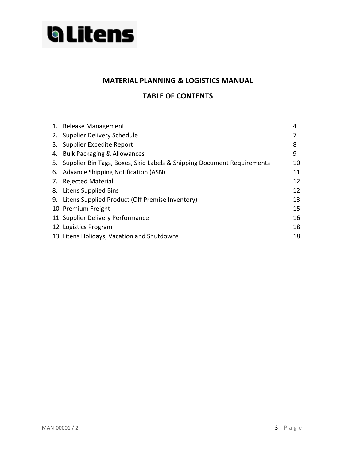

#### **MATERIAL PLANNING & LOGISTICS MANUAL**

#### **TABLE OF CONTENTS**

| 1. Release Management                                                     | 4  |
|---------------------------------------------------------------------------|----|
| 2. Supplier Delivery Schedule                                             |    |
| 3. Supplier Expedite Report                                               | 8  |
| 4. Bulk Packaging & Allowances                                            | 9  |
| 5. Supplier Bin Tags, Boxes, Skid Labels & Shipping Document Requirements | 10 |
| 6. Advance Shipping Notification (ASN)                                    | 11 |
| 7. Rejected Material                                                      | 12 |
| 8. Litens Supplied Bins                                                   | 12 |
| 9. Litens Supplied Product (Off Premise Inventory)                        | 13 |
| 10. Premium Freight                                                       | 15 |
| 11. Supplier Delivery Performance                                         | 16 |
| 12. Logistics Program                                                     | 18 |
| 13. Litens Holidays, Vacation and Shutdowns                               | 18 |
|                                                                           |    |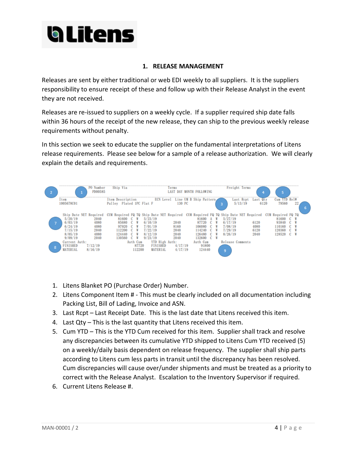

#### **1. RELEASE MANAGEMENT**

Releases are sent by either traditional or web EDI weekly to all suppliers. It is the suppliers responsibility to ensure receipt of these and follow up with their Release Analyst in the event they are not received.

Releases are re-issued to suppliers on a weekly cycle. If a supplier required ship date falls within 36 hours of the receipt of the new release, they can ship to the previous weekly release requirements without penalty.

In this section we seek to educate the supplier on the fundamental interpretations of Litens release requirements. Please see below for a sample of a release authorization. We will clearly explain the details and requirements.



- 1. Litens Blanket PO (Purchase Order) Number.
- 2. Litens Component Item # This must be clearly included on all documentation including Packing List, Bill of Lading, Invoice and ASN.
- 3. Last Rcpt Last Receipt Date. This is the last date that Litens received this item.
- 4. Last Qty This is the last quantity that Litens received this item.
- 5. Cum YTD This is the YTD Cum received for this item. Supplier shall track and resolve any discrepancies between its cumulative YTD shipped to Litens Cum YTD received (5) on a weekly/daily basis dependent on release frequency. The supplier shall ship parts according to Litens cum less parts in transit until the discrepancy has been resolved. Cum discrepancies will cause over/under shipments and must be treated as a priority to correct with the Release Analyst. Escalation to the Inventory Supervisor if required.
- 6. Current Litens Release #.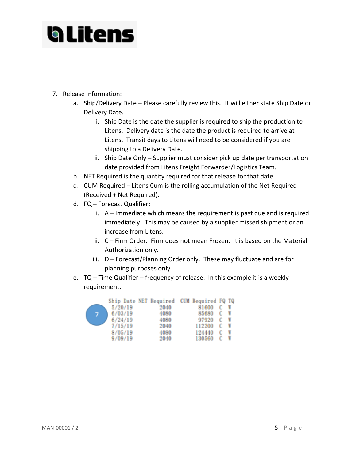

- 7. Release Information:
	- a. Ship/Delivery Date Please carefully review this. It will either state Ship Date or Delivery Date.
		- i. Ship Date is the date the supplier is required to ship the production to Litens. Delivery date is the date the product is required to arrive at Litens. Transit days to Litens will need to be considered if you are shipping to a Delivery Date.
		- ii. Ship Date Only Supplier must consider pick up date per transportation date provided from Litens Freight Forwarder/Logistics Team.
	- b. NET Required is the quantity required for that release for that date.
	- c. CUM Required Litens Cum is the rolling accumulation of the Net Required (Received + Net Required).
	- d. FQ Forecast Qualifier:
		- i. A Immediate which means the requirement is past due and is required immediately. This may be caused by a supplier missed shipment or an increase from Litens.
		- ii. C Firm Order. Firm does not mean Frozen. It is based on the Material Authorization only.
		- iii. D Forecast/Planning Order only. These may fluctuate and are for planning purposes only
	- e. TQ Time Qualifier frequency of release. In this example it is a weekly requirement.

|   |         | Ship Date NET Required CUM Required FQ TQ |        |   |   |  |
|---|---------|-------------------------------------------|--------|---|---|--|
|   | 5/20/19 | 2040                                      | 81600  |   |   |  |
| 7 | 6/03/19 | 4080                                      | 85680  | C | W |  |
|   | 6/24/19 | 4080                                      | 97920  |   |   |  |
|   | 7/15/19 | 2040                                      | 112200 | c |   |  |
|   | 8/05/19 | 4080                                      | 124440 |   |   |  |
|   | 9/09/19 | 2040                                      | 130560 |   |   |  |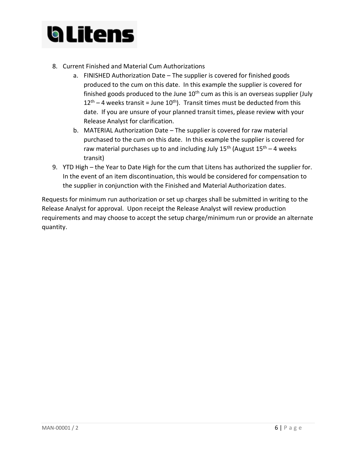

- 8. Current Finished and Material Cum Authorizations
	- a. FINISHED Authorization Date The supplier is covered for finished goods produced to the cum on this date. In this example the supplier is covered for finished goods produced to the June  $10<sup>th</sup>$  cum as this is an overseas supplier (July  $12<sup>th</sup> - 4$  weeks transit = June  $10<sup>th</sup>$ ). Transit times must be deducted from this date. If you are unsure of your planned transit times, please review with your Release Analyst for clarification.
	- b. MATERIAL Authorization Date The supplier is covered for raw material purchased to the cum on this date. In this example the supplier is covered for raw material purchases up to and including July  $15^{th}$  (August  $15^{th}$  – 4 weeks transit)
- 9. YTD High the Year to Date High for the cum that Litens has authorized the supplier for. In the event of an item discontinuation, this would be considered for compensation to the supplier in conjunction with the Finished and Material Authorization dates.

Requests for minimum run authorization or set up charges shall be submitted in writing to the Release Analyst for approval. Upon receipt the Release Analyst will review production requirements and may choose to accept the setup charge/minimum run or provide an alternate quantity.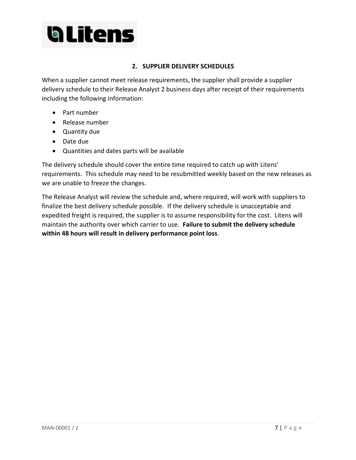

#### **2. SUPPLIER DELIVERY SCHEDULES**

When a supplier cannot meet release requirements, the supplier shall provide a supplier delivery schedule to their Release Analyst 2 business days after receipt of their requirements including the following information:

- Part number
- Release number
- Quantity due
- Date due
- Quantities and dates parts will be available

The delivery schedule should cover the entire time required to catch up with Litens' requirements. This schedule may need to be resubmitted weekly based on the new releases as we are unable to freeze the changes.

The Release Analyst will review the schedule and, where required, will work with suppliers to finalize the best delivery schedule possible. If the delivery schedule is unacceptable and expedited freight is required, the supplier is to assume responsibility for the cost. Litens will maintain the authority over which carrier to use. **Failure to submit the delivery schedule within 48 hours will result in delivery performance point loss**.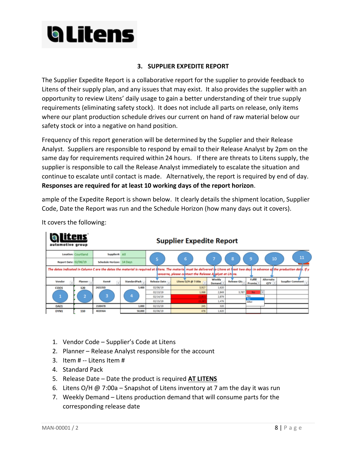

#### **3. SUPPLIER EXPEDITE REPORT**

The Supplier Expedite Report is a collaborative report for the supplier to provide feedback to Litens of their supply plan, and any issues that may exist. It also provides the supplier with an opportunity to review Litens' daily usage to gain a better understanding of their true supply requirements (eliminating safety stock). It does not include all parts on release, only items where our plant production schedule drives our current on hand of raw material below our safety stock or into a negative on hand position.

Frequency of this report generation will be determined by the Supplier and their Release Analyst. Suppliers are responsible to respond by email to their Release Analyst by 2pm on the same day for requirements required within 24 hours. If there are threats to Litens supply, the supplier is responsible to call the Release Analyst immediately to escalate the situation and continue to escalate until contact is made. Alternatively, the report is required by end of day. **Responses are required for at least 10 working days of the report horizon**.

ample of the Expedite Report is shown below. It clearly details the shipment location, Supplier Code, Date the Report was run and the Schedule Horizon (how many days out it covers).

| a ltens<br>automotive group                                                                                                                                                                                                                     |             |              |                                                  |                    |                               |                    |                                      |                      |                         |
|-------------------------------------------------------------------------------------------------------------------------------------------------------------------------------------------------------------------------------------------------|-------------|--------------|--------------------------------------------------|--------------------|-------------------------------|--------------------|--------------------------------------|----------------------|-------------------------|
| Location: Courtland                                                                                                                                                                                                                             |             |              |                                                  |                    |                               |                    |                                      |                      | 11                      |
| Report Date: 02/06/19                                                                                                                                                                                                                           |             |              |                                                  |                    |                               |                    |                                      |                      |                         |
| The dates indicated in Column C are the dates the material is required at litens. The material must be delivered to Litens at frast two days in advance of the production dats. If y<br>concerns, please contact the Release Ahalyst at Litens. |             |              |                                                  |                    |                               |                    |                                      |                      |                         |
| <b>Planner</b>                                                                                                                                                                                                                                  | <b>Hem#</b> | StandardPack | <b>Release Date</b>                              | Litens O/H @ 7:00a | Weekly<br>Demand <sup>+</sup> | <b>Release Oty</b> | Fulfill<br>Promiss <sup>*</sup>      | Alternate<br>$QTV =$ | <b>Suuplier Comment</b> |
| 120                                                                                                                                                                                                                                             | 242155D     | 5,400        | 02/06/19                                         | 3,917              | 1,620                         |                    |                                      |                      |                         |
|                                                                                                                                                                                                                                                 |             |              | 02/13/19                                         | 1,068              | 2,849                         | 3,787              | No                                   |                      |                         |
| ÷                                                                                                                                                                                                                                               |             |              | 02/14/19                                         | (1.811)            | 2,879                         |                    | Yet                                  |                      |                         |
|                                                                                                                                                                                                                                                 |             |              | 02/15/19                                         | (3, 287)           | 1,476                         |                    | Alter                                |                      |                         |
|                                                                                                                                                                                                                                                 | 2100478     | 1,000        | 02/15/19                                         | 245                | 320                           |                    |                                      |                      |                         |
| 110                                                                                                                                                                                                                                             | 402036A     | 50,000       | 02/06/19                                         | 476                | 1,620                         |                    |                                      |                      |                         |
|                                                                                                                                                                                                                                                 |             | з            | Supplier#: All<br>Schedule Horizon: 14 Days<br>4 |                    | 6                             |                    | <b>Supplier Expedite Report</b><br>8 | 9                    | 10                      |

It covers the following:

 $\overline{1}$  and  $\overline{1}$ 

- 1. Vendor Code Supplier's Code at Litens
- 2. Planner Release Analyst responsible for the account
- 3. Item # -- Litens Item #
- 4. Standard Pack
- 5. Release Date Date the product is required **AT LITENS**
- 6. Litens O/H @ 7:00a Snapshot of Litens inventory at 7 am the day it was run
- 7. Weekly Demand Litens production demand that will consume parts for the corresponding release date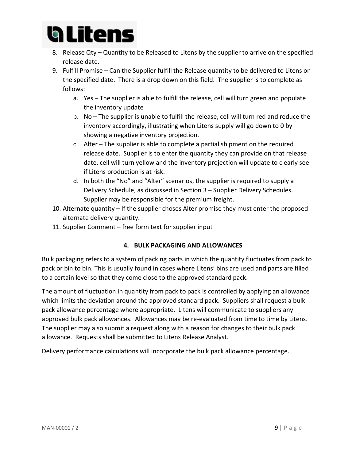

- 8. Release Qty Quantity to be Released to Litens by the supplier to arrive on the specified release date.
- 9. Fulfill Promise Can the Supplier fulfill the Release quantity to be delivered to Litens on the specified date. There is a drop down on this field. The supplier is to complete as follows:
	- a. Yes The supplier is able to fulfill the release, cell will turn green and populate the inventory update
	- b. No The supplier is unable to fulfill the release, cell will turn red and reduce the inventory accordingly, illustrating when Litens supply will go down to 0 by showing a negative inventory projection.
	- c. Alter The supplier is able to complete a partial shipment on the required release date. Supplier is to enter the quantity they can provide on that release date, cell will turn yellow and the inventory projection will update to clearly see if Litens production is at risk.
	- d. In both the "No" and "Alter" scenarios, the supplier is required to supply a Delivery Schedule, as discussed in Section 3 – Supplier Delivery Schedules. Supplier may be responsible for the premium freight.
- 10. Alternate quantity If the supplier choses Alter promise they must enter the proposed alternate delivery quantity.
- 11. Supplier Comment free form text for supplier input

#### **4. BULK PACKAGING AND ALLOWANCES**

Bulk packaging refers to a system of packing parts in which the quantity fluctuates from pack to pack or bin to bin. This is usually found in cases where Litens' bins are used and parts are filled to a certain level so that they come close to the approved standard pack.

The amount of fluctuation in quantity from pack to pack is controlled by applying an allowance which limits the deviation around the approved standard pack. Suppliers shall request a bulk pack allowance percentage where appropriate. Litens will communicate to suppliers any approved bulk pack allowances. Allowances may be re-evaluated from time to time by Litens. The supplier may also submit a request along with a reason for changes to their bulk pack allowance. Requests shall be submitted to Litens Release Analyst.

Delivery performance calculations will incorporate the bulk pack allowance percentage.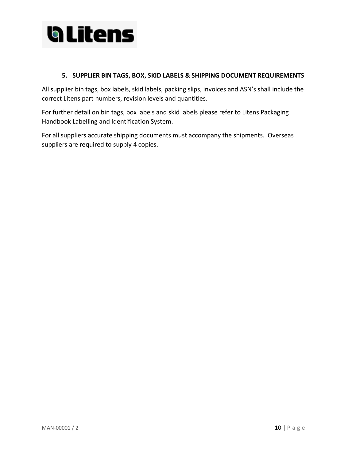

#### **5. SUPPLIER BIN TAGS, BOX, SKID LABELS & SHIPPING DOCUMENT REQUIREMENTS**

All supplier bin tags, box labels, skid labels, packing slips, invoices and ASN's shall include the correct Litens part numbers, revision levels and quantities.

For further detail on bin tags, box labels and skid labels please refer to Litens Packaging Handbook Labelling and Identification System.

For all suppliers accurate shipping documents must accompany the shipments. Overseas suppliers are required to supply 4 copies.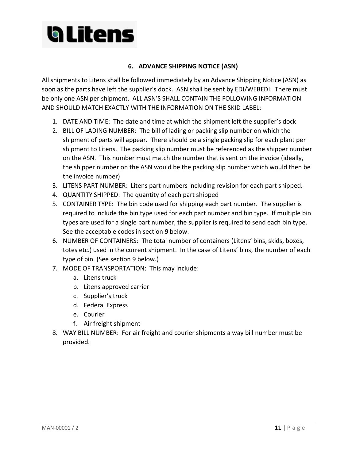## **Glitens**

#### **6. ADVANCE SHIPPING NOTICE (ASN)**

All shipments to Litens shall be followed immediately by an Advance Shipping Notice (ASN) as soon as the parts have left the supplier's dock. ASN shall be sent by EDI/WEBEDI. There must be only one ASN per shipment. ALL ASN'S SHALL CONTAIN THE FOLLOWING INFORMATION AND SHOULD MATCH EXACTLY WITH THE INFORMATION ON THE SKID LABEL:

- 1. DATE AND TIME: The date and time at which the shipment left the supplier's dock
- 2. BILL OF LADING NUMBER: The bill of lading or packing slip number on which the shipment of parts will appear. There should be a single packing slip for each plant per shipment to Litens. The packing slip number must be referenced as the shipper number on the ASN. This number must match the number that is sent on the invoice (ideally, the shipper number on the ASN would be the packing slip number which would then be the invoice number)
- 3. LITENS PART NUMBER: Litens part numbers including revision for each part shipped.
- 4. QUANTITY SHIPPED: The quantity of each part shipped
- 5. CONTAINER TYPE: The bin code used for shipping each part number. The supplier is required to include the bin type used for each part number and bin type. If multiple bin types are used for a single part number, the supplier is required to send each bin type. See the acceptable codes in section 9 below.
- 6. NUMBER OF CONTAINERS: The total number of containers (Litens' bins, skids, boxes, totes etc.) used in the current shipment. In the case of Litens' bins, the number of each type of bin. (See section 9 below.)
- 7. MODE OF TRANSPORTATION: This may include:
	- a. Litens truck
	- b. Litens approved carrier
	- c. Supplier's truck
	- d. Federal Express
	- e. Courier
	- f. Air freight shipment
- 8. WAY BILL NUMBER: For air freight and courier shipments a way bill number must be provided.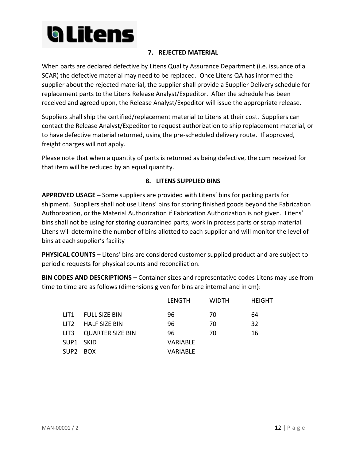

#### **7. REJECTED MATERIAL**

When parts are declared defective by Litens Quality Assurance Department (i.e. issuance of a SCAR) the defective material may need to be replaced. Once Litens QA has informed the supplier about the rejected material, the supplier shall provide a Supplier Delivery schedule for replacement parts to the Litens Release Analyst/Expeditor. After the schedule has been received and agreed upon, the Release Analyst/Expeditor will issue the appropriate release.

Suppliers shall ship the certified/replacement material to Litens at their cost. Suppliers can contact the Release Analyst/Expeditor to request authorization to ship replacement material, or to have defective material returned, using the pre-scheduled delivery route. If approved, freight charges will not apply.

Please note that when a quantity of parts is returned as being defective, the cum received for that item will be reduced by an equal quantity.

#### **8. LITENS SUPPLIED BINS**

**APPROVED USAGE –** Some suppliers are provided with Litens' bins for packing parts for shipment. Suppliers shall not use Litens' bins for storing finished goods beyond the Fabrication Authorization, or the Material Authorization if Fabrication Authorization is not given. Litens' bins shall not be using for storing quarantined parts, work in process parts or scrap material. Litens will determine the number of bins allotted to each supplier and will monitor the level of bins at each supplier's facility

**PHYSICAL COUNTS –** Litens' bins are considered customer supplied product and are subject to periodic requests for physical counts and reconciliation.

**BIN CODES AND DESCRIPTIONS –** Container sizes and representative codes Litens may use from time to time are as follows (dimensions given for bins are internal and in cm):

|                  |                    | LENGTH          | <b>WIDTH</b> | <b>HEIGHT</b> |
|------------------|--------------------|-----------------|--------------|---------------|
|                  | LIT1 FULL SIZE BIN | 96              | 70           | 64            |
| LIT <sub>2</sub> | HALF SIZE BIN      | 96              | 70           | 32            |
| LIT3             | QUARTER SIZE BIN   | 96              | 70           | 16            |
| SUP1 SKID        |                    | <b>VARIABLE</b> |              |               |
| SUP2 BOX         |                    | VARIABLE        |              |               |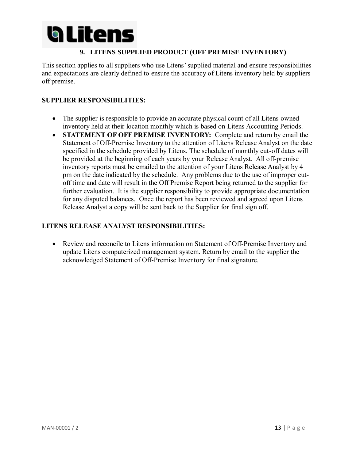

#### **9. LITENS SUPPLIED PRODUCT (OFF PREMISE INVENTORY)**

This section applies to all suppliers who use Litens' supplied material and ensure responsibilities and expectations are clearly defined to ensure the accuracy of Litens inventory held by suppliers off premise.

#### **SUPPLIER RESPONSIBILITIES:**

- The supplier is responsible to provide an accurate physical count of all Litens owned inventory held at their location monthly which is based on Litens Accounting Periods.
- **STATEMENT OF OFF PREMISE INVENTORY:** Complete and return by email the Statement of Off-Premise Inventory to the attention of Litens Release Analyst on the date specified in the schedule provided by Litens. The schedule of monthly cut-off dates will be provided at the beginning of each years by your Release Analyst. All off-premise inventory reports must be emailed to the attention of your Litens Release Analyst by 4 pm on the date indicated by the schedule. Any problems due to the use of improper cutoff time and date will result in the Off Premise Report being returned to the supplier for further evaluation. It is the supplier responsibility to provide appropriate documentation for any disputed balances. Once the report has been reviewed and agreed upon Litens Release Analyst a copy will be sent back to the Supplier for final sign off.

#### **LITENS RELEASE ANALYST RESPONSIBILITIES:**

• Review and reconcile to Litens information on Statement of Off-Premise Inventory and update Litens computerized management system. Return by email to the supplier the acknowledged Statement of Off-Premise Inventory for final signature.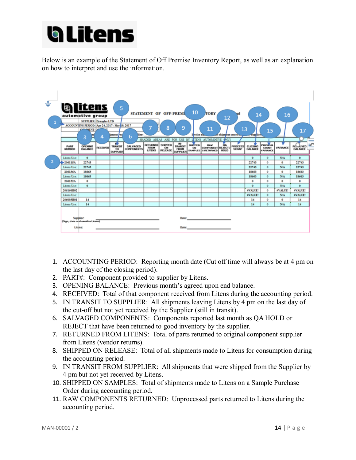

Below is an example of the Statement of Off Premise Inventory Report, as well as an explanation on how to interpret and use the information.



- 1. ACCOUNTING PERIOD:Reporting month date (Cut off time will always be at 4 pm on the last day of the closing period).
- 2. PART#: Component provided to supplier by Litens.
- 3. OPENING BALANCE: Previous month's agreed upon end balance.
- 4. RECEIVED: Total of that component received from Litens during the accounting period.
- 5. IN TRANSIT TO SUPPLIER: All shipments leaving Litens by 4 pm on the last day of the cut-off but not yet received by the Supplier (still in transit).
- 6. SALVAGED COMPONENTS: Components reported last month as QA HOLD or REJECT that have been returned to good inventory by the supplier.
- 7. RETURNED FROM LITENS: Total of parts returned to original component supplier from Litens (vendor returns).
- 8. SHIPPED ON RELEASE: Total of all shipments made to Litens for consumption during the accounting period.
- 9. IN TRANSIT FROM SUPPLIER: All shipments that were shipped from the Supplier by 4 pm but not yet received by Litens.
- 10. SHIPPED ON SAMPLES: Total of shipments made to Litens on a Sample Purchase Order during accounting period.
- 11. RAW COMPONENTS RETURNED: Unprocessed parts returned to Litens during the accounting period.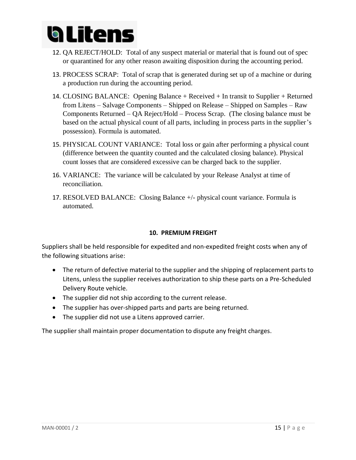

- 12. QA REJECT/HOLD: Total of any suspect material or material that is found out of spec or quarantined for any other reason awaiting disposition during the accounting period.
- 13. PROCESS SCRAP: Total of scrap that is generated during set up of a machine or during a production run during the accounting period.
- 14. CLOSING BALANCE: Opening Balance + Received + In transit to Supplier + Returned from Litens – Salvage Components – Shipped on Release – Shipped on Samples – Raw Components Returned – QA Reject/Hold – Process Scrap. (The closing balance must be based on the actual physical count of all parts, including in process parts in the supplier's possession). Formula is automated.
- 15. PHYSICAL COUNT VARIANCE: Total loss or gain after performing a physical count (difference between the quantity counted and the calculated closing balance). Physical count losses that are considered excessive can be charged back to the supplier.
- 16. VARIANCE: The variance will be calculated by your Release Analyst at time of reconciliation.
- 17. RESOLVED BALANCE: Closing Balance +/- physical count variance. Formula is automated.

#### **10. PREMIUM FREIGHT**

Suppliers shall be held responsible for expedited and non-expedited freight costs when any of the following situations arise:

- The return of defective material to the supplier and the shipping of replacement parts to Litens, unless the supplier receives authorization to ship these parts on a Pre-Scheduled Delivery Route vehicle.
- The supplier did not ship according to the current release.
- The supplier has over-shipped parts and parts are being returned.
- The supplier did not use a Litens approved carrier.

The supplier shall maintain proper documentation to dispute any freight charges.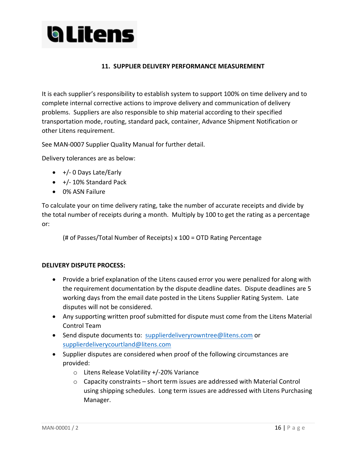

#### **11. SUPPLIER DELIVERY PERFORMANCE MEASUREMENT**

It is each supplier's responsibility to establish system to support 100% on time delivery and to complete internal corrective actions to improve delivery and communication of delivery problems. Suppliers are also responsible to ship material according to their specified transportation mode, routing, standard pack, container, Advance Shipment Notification or other Litens requirement.

See MAN-0007 Supplier Quality Manual for further detail.

Delivery tolerances are as below:

- +/- 0 Days Late/Early
- +/- 10% Standard Pack
- 0% ASN Failure

To calculate your on time delivery rating, take the number of accurate receipts and divide by the total number of receipts during a month. Multiply by 100 to get the rating as a percentage or:

(# of Passes/Total Number of Receipts) x 100 = OTD Rating Percentage

#### **DELIVERY DISPUTE PROCESS:**

- Provide a brief explanation of the Litens caused error you were penalized for along with the requirement documentation by the dispute deadline dates. Dispute deadlines are 5 working days from the email date posted in the Litens Supplier Rating System. Late disputes will not be considered.
- Any supporting written proof submitted for dispute must come from the Litens Material Control Team
- Send dispute documents to: [supplierdeliveryrowntree@litens.com](mailto:supplierdeliveryrowntree@litens.com) or [supplierdeliverycourtland@litens.com](mailto:supplierdeliverycourtland@litens.com)
- Supplier disputes are considered when proof of the following circumstances are provided:
	- o Litens Release Volatility +/-20% Variance
	- $\circ$  Capacity constraints short term issues are addressed with Material Control using shipping schedules. Long term issues are addressed with Litens Purchasing Manager.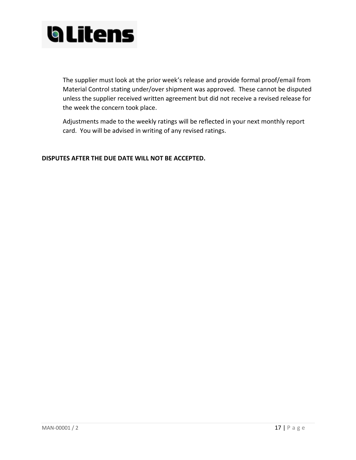

The supplier must look at the prior week's release and provide formal proof/email from Material Control stating under/over shipment was approved. These cannot be disputed unless the supplier received written agreement but did not receive a revised release for the week the concern took place.

Adjustments made to the weekly ratings will be reflected in your next monthly report card. You will be advised in writing of any revised ratings.

**DISPUTES AFTER THE DUE DATE WILL NOT BE ACCEPTED.**